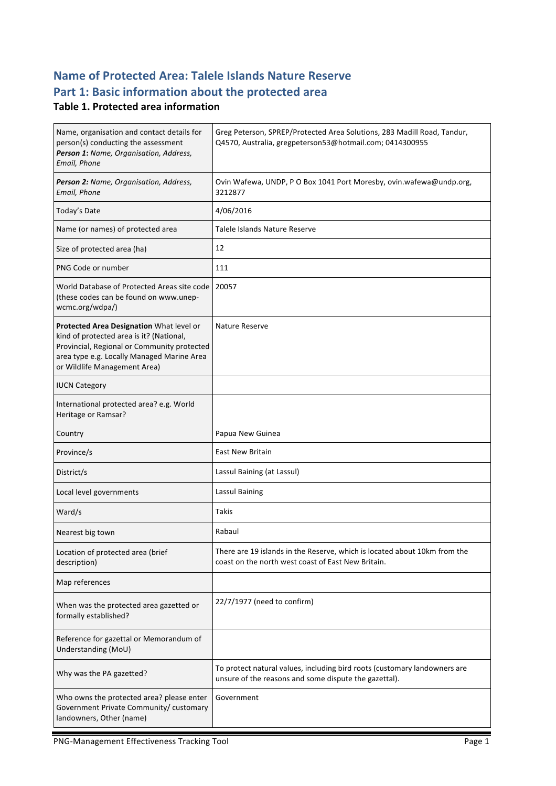## **Name of Protected Area: Talele Islands Nature Reserve** Part 1: Basic information about the protected area

### **Table 1. Protected area information**

| Name, organisation and contact details for<br>person(s) conducting the assessment<br>Person 1: Name, Organisation, Address,<br>Email, Phone                                                                       | Greg Peterson, SPREP/Protected Area Solutions, 283 Madill Road, Tandur,<br>Q4570, Australia, gregpeterson53@hotmail.com; 0414300955 |
|-------------------------------------------------------------------------------------------------------------------------------------------------------------------------------------------------------------------|-------------------------------------------------------------------------------------------------------------------------------------|
| Person 2: Name, Organisation, Address,<br>Email, Phone                                                                                                                                                            | Ovin Wafewa, UNDP, P O Box 1041 Port Moresby, ovin.wafewa@undp.org,<br>3212877                                                      |
| Today's Date                                                                                                                                                                                                      | 4/06/2016                                                                                                                           |
| Name (or names) of protected area                                                                                                                                                                                 | Talele Islands Nature Reserve                                                                                                       |
| Size of protected area (ha)                                                                                                                                                                                       | 12                                                                                                                                  |
| PNG Code or number                                                                                                                                                                                                | 111                                                                                                                                 |
| World Database of Protected Areas site code<br>(these codes can be found on www.unep-<br>wcmc.org/wdpa/)                                                                                                          | 20057                                                                                                                               |
| Protected Area Designation What level or<br>kind of protected area is it? (National,<br>Provincial, Regional or Community protected<br>area type e.g. Locally Managed Marine Area<br>or Wildlife Management Area) | <b>Nature Reserve</b>                                                                                                               |
| <b>IUCN Category</b>                                                                                                                                                                                              |                                                                                                                                     |
| International protected area? e.g. World<br>Heritage or Ramsar?                                                                                                                                                   |                                                                                                                                     |
| Country                                                                                                                                                                                                           | Papua New Guinea                                                                                                                    |
| Province/s                                                                                                                                                                                                        | <b>East New Britain</b>                                                                                                             |
| District/s                                                                                                                                                                                                        | Lassul Baining (at Lassul)                                                                                                          |
| Local level governments                                                                                                                                                                                           | Lassul Baining                                                                                                                      |
| Ward/s                                                                                                                                                                                                            | <b>Takis</b>                                                                                                                        |
| Nearest big town                                                                                                                                                                                                  | Rabaul                                                                                                                              |
| Location of protected area (brief<br>description)                                                                                                                                                                 | There are 19 islands in the Reserve, which is located about 10km from the<br>coast on the north west coast of East New Britain.     |
| Map references                                                                                                                                                                                                    |                                                                                                                                     |
| When was the protected area gazetted or<br>formally established?                                                                                                                                                  | 22/7/1977 (need to confirm)                                                                                                         |
| Reference for gazettal or Memorandum of<br>Understanding (MoU)                                                                                                                                                    |                                                                                                                                     |
| Why was the PA gazetted?                                                                                                                                                                                          | To protect natural values, including bird roots (customary landowners are<br>unsure of the reasons and some dispute the gazettal).  |
| Who owns the protected area? please enter<br>Government Private Community/ customary<br>landowners, Other (name)                                                                                                  | Government                                                                                                                          |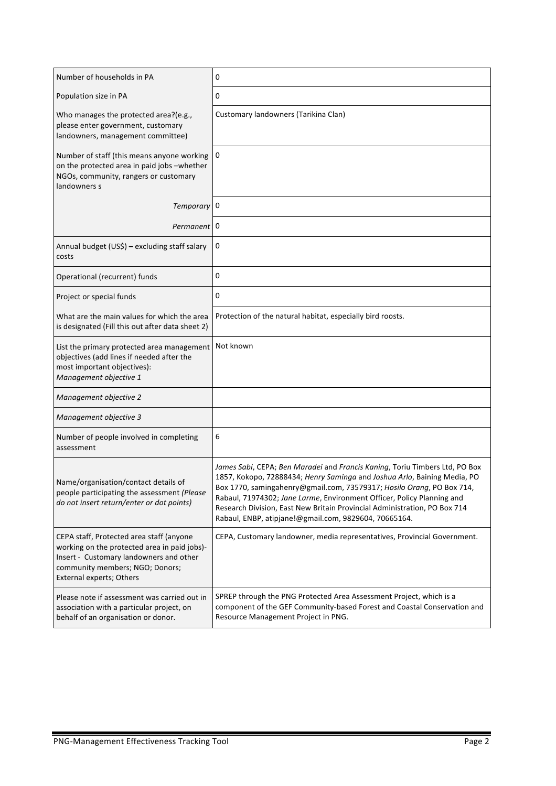| Number of households in PA                                                                                                                                                                         | 0                                                                                                                                                                                                                                                                                                                                                                                                                                                |
|----------------------------------------------------------------------------------------------------------------------------------------------------------------------------------------------------|--------------------------------------------------------------------------------------------------------------------------------------------------------------------------------------------------------------------------------------------------------------------------------------------------------------------------------------------------------------------------------------------------------------------------------------------------|
| Population size in PA                                                                                                                                                                              | 0                                                                                                                                                                                                                                                                                                                                                                                                                                                |
| Who manages the protected area?(e.g.,<br>please enter government, customary<br>landowners, management committee)                                                                                   | Customary landowners (Tarikina Clan)                                                                                                                                                                                                                                                                                                                                                                                                             |
| Number of staff (this means anyone working<br>on the protected area in paid jobs -whether<br>NGOs, community, rangers or customary<br>landowners s                                                 | 0                                                                                                                                                                                                                                                                                                                                                                                                                                                |
| Temporary <sup>0</sup>                                                                                                                                                                             |                                                                                                                                                                                                                                                                                                                                                                                                                                                  |
| Permanent 0                                                                                                                                                                                        |                                                                                                                                                                                                                                                                                                                                                                                                                                                  |
| Annual budget (US\$) - excluding staff salary<br>costs                                                                                                                                             | 0                                                                                                                                                                                                                                                                                                                                                                                                                                                |
| Operational (recurrent) funds                                                                                                                                                                      | 0                                                                                                                                                                                                                                                                                                                                                                                                                                                |
| Project or special funds                                                                                                                                                                           | 0                                                                                                                                                                                                                                                                                                                                                                                                                                                |
| What are the main values for which the area<br>is designated (Fill this out after data sheet 2)                                                                                                    | Protection of the natural habitat, especially bird roosts.                                                                                                                                                                                                                                                                                                                                                                                       |
| List the primary protected area management Not known<br>objectives (add lines if needed after the<br>most important objectives):<br>Management objective 1                                         |                                                                                                                                                                                                                                                                                                                                                                                                                                                  |
| Management objective 2                                                                                                                                                                             |                                                                                                                                                                                                                                                                                                                                                                                                                                                  |
| Management objective 3                                                                                                                                                                             |                                                                                                                                                                                                                                                                                                                                                                                                                                                  |
| Number of people involved in completing<br>assessment                                                                                                                                              | 6                                                                                                                                                                                                                                                                                                                                                                                                                                                |
| Name/organisation/contact details of<br>people participating the assessment (Please<br>do not insert return/enter or dot points)                                                                   | James Sabi, CEPA; Ben Maradei and Francis Kaning, Toriu Timbers Ltd, PO Box<br>1857, Kokopo, 72888434; Henry Saminga and Joshua Arlo, Baining Media, PO<br>Box 1770, samingahenry@gmail.com, 73579317; Hosilo Orang, PO Box 714,<br>Rabaul, 71974302; Jane Larme, Environment Officer, Policy Planning and<br>Research Division, East New Britain Provincial Administration, PO Box 714<br>Rabaul, ENBP, atipjane!@gmail.com, 9829604, 70665164. |
| CEPA staff, Protected area staff (anyone<br>working on the protected area in paid jobs)-<br>Insert - Customary landowners and other<br>community members; NGO; Donors;<br>External experts; Others | CEPA, Customary landowner, media representatives, Provincial Government.                                                                                                                                                                                                                                                                                                                                                                         |
| Please note if assessment was carried out in<br>association with a particular project, on<br>behalf of an organisation or donor.                                                                   | SPREP through the PNG Protected Area Assessment Project, which is a<br>component of the GEF Community-based Forest and Coastal Conservation and<br>Resource Management Project in PNG.                                                                                                                                                                                                                                                           |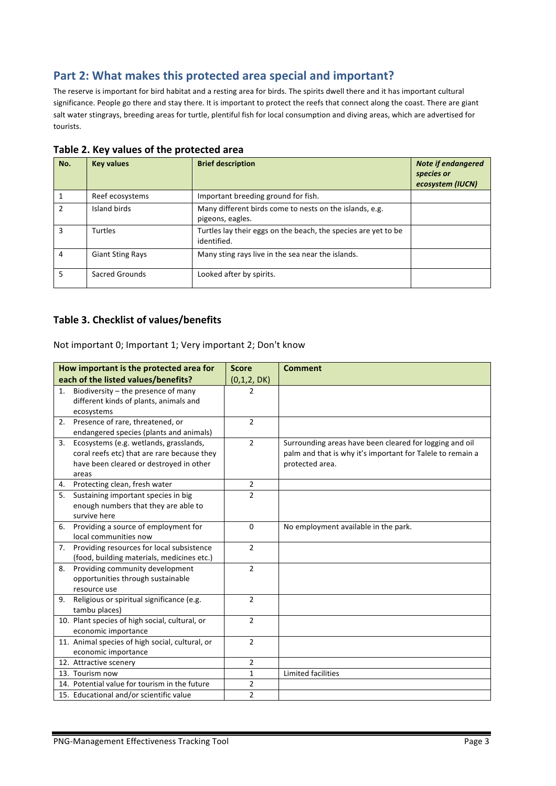## Part 2: What makes this protected area special and important?

The reserve is important for bird habitat and a resting area for birds. The spirits dwell there and it has important cultural significance. People go there and stay there. It is important to protect the reefs that connect along the coast. There are giant salt water stingrays, breeding areas for turtle, plentiful fish for local consumption and diving areas, which are advertised for tourists.

| No.            | <b>Key values</b>       | <b>Brief description</b>                                                      | <b>Note if endangered</b><br>species or<br>ecosystem (IUCN) |
|----------------|-------------------------|-------------------------------------------------------------------------------|-------------------------------------------------------------|
|                | Reef ecosystems         | Important breeding ground for fish.                                           |                                                             |
| $\mathfrak{p}$ | Island birds            | Many different birds come to nests on the islands, e.g.<br>pigeons, eagles.   |                                                             |
| 3              | <b>Turtles</b>          | Turtles lay their eggs on the beach, the species are yet to be<br>identified. |                                                             |
| 4              | <b>Giant Sting Rays</b> | Many sting rays live in the sea near the islands.                             |                                                             |
| 5              | Sacred Grounds          | Looked after by spirits.                                                      |                                                             |

#### Table 2. Key values of the protected area

#### **Table 3. Checklist of values/benefits**

#### Not important 0; Important 1; Very important 2; Don't know

|    | How important is the protected area for         | <b>Score</b>   | <b>Comment</b>                                             |
|----|-------------------------------------------------|----------------|------------------------------------------------------------|
|    | each of the listed values/benefits?             | (0,1,2, DK)    |                                                            |
| 1. | Biodiversity - the presence of many             | $\overline{2}$ |                                                            |
|    | different kinds of plants, animals and          |                |                                                            |
|    | ecosystems                                      |                |                                                            |
|    | 2. Presence of rare, threatened, or             | $\overline{2}$ |                                                            |
|    | endangered species (plants and animals)         |                |                                                            |
| 3. | Ecosystems (e.g. wetlands, grasslands,          | $\overline{2}$ | Surrounding areas have been cleared for logging and oil    |
|    | coral reefs etc) that are rare because they     |                | palm and that is why it's important for Talele to remain a |
|    | have been cleared or destroyed in other         |                | protected area.                                            |
|    | areas                                           |                |                                                            |
| 4. | Protecting clean, fresh water                   | 2              |                                                            |
|    | 5. Sustaining important species in big          | $\overline{2}$ |                                                            |
|    | enough numbers that they are able to            |                |                                                            |
|    | survive here                                    |                |                                                            |
|    | 6. Providing a source of employment for         | $\Omega$       | No employment available in the park.                       |
|    | local communities now                           |                |                                                            |
| 7. | Providing resources for local subsistence       | $\overline{2}$ |                                                            |
|    | (food, building materials, medicines etc.)      |                |                                                            |
|    | 8. Providing community development              | $\overline{2}$ |                                                            |
|    | opportunities through sustainable               |                |                                                            |
|    | resource use                                    |                |                                                            |
| 9. | Religious or spiritual significance (e.g.       | $\overline{2}$ |                                                            |
|    | tambu places)                                   |                |                                                            |
|    | 10. Plant species of high social, cultural, or  | $\overline{2}$ |                                                            |
|    | economic importance                             |                |                                                            |
|    | 11. Animal species of high social, cultural, or | $\overline{2}$ |                                                            |
|    | economic importance                             |                |                                                            |
|    | 12. Attractive scenery                          | $\overline{2}$ |                                                            |
|    | 13. Tourism now                                 | $\mathbf{1}$   | Limited facilities                                         |
|    | 14. Potential value for tourism in the future   | $\overline{2}$ |                                                            |
|    | 15. Educational and/or scientific value         | $\overline{2}$ |                                                            |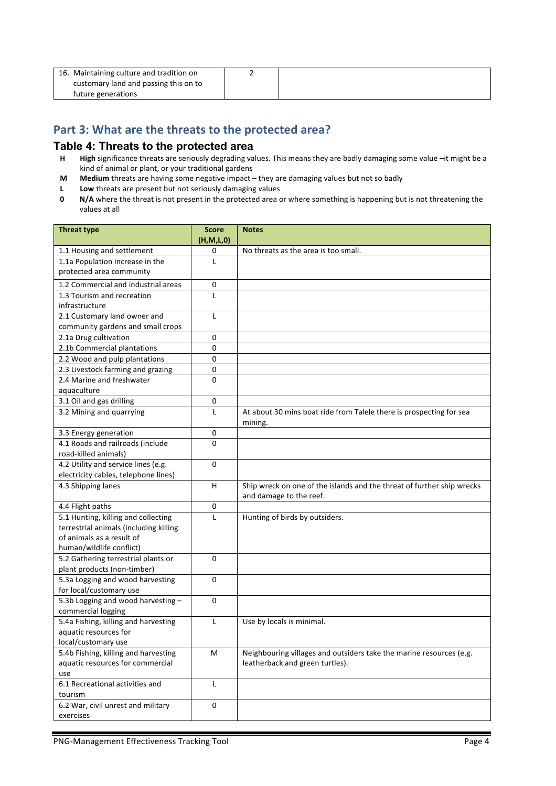| 16. Maintaining culture and tradition on |  |
|------------------------------------------|--|
| customary land and passing this on to    |  |
| future generations                       |  |

## Part 3: What are the threats to the protected area?

#### **Table 4: Threats to the protected area**

- **H High** significance threats are seriously degrading values. This means they are badly damaging some value –it might be a kind of animal or plant, or your traditional gardens
- **M** Medium threats are having some negative impact they are damaging values but not so badly
- **L** Low threats are present but not seriously damaging values<br>**0** N/A where the threat is not present in the protected area of
- **N/A** where the threat is not present in the protected area or where something is happening but is not threatening the values at all

| <b>Threat type</b>                                      | <b>Score</b><br>(H,M,L,0) | <b>Notes</b>                                                                                      |
|---------------------------------------------------------|---------------------------|---------------------------------------------------------------------------------------------------|
| 1.1 Housing and settlement                              | 0                         | No threats as the area is too small.                                                              |
| 1.1a Population increase in the                         | L                         |                                                                                                   |
| protected area community                                |                           |                                                                                                   |
| 1.2 Commercial and industrial areas                     | 0                         |                                                                                                   |
| 1.3 Tourism and recreation                              | L                         |                                                                                                   |
| infrastructure                                          |                           |                                                                                                   |
| 2.1 Customary land owner and                            | L                         |                                                                                                   |
| community gardens and small crops                       |                           |                                                                                                   |
| 2.1a Drug cultivation                                   | 0                         |                                                                                                   |
| 2.1b Commercial plantations                             | 0                         |                                                                                                   |
| 2.2 Wood and pulp plantations                           | 0                         |                                                                                                   |
| 2.3 Livestock farming and grazing                       | 0                         |                                                                                                   |
| 2.4 Marine and freshwater                               | 0                         |                                                                                                   |
| aquaculture                                             |                           |                                                                                                   |
| 3.1 Oil and gas drilling                                | 0                         |                                                                                                   |
| 3.2 Mining and quarrying                                | L                         | At about 30 mins boat ride from Talele there is prospecting for sea<br>mining.                    |
| 3.3 Energy generation                                   | 0                         |                                                                                                   |
| 4.1 Roads and railroads (include                        | 0                         |                                                                                                   |
| road-killed animals)                                    |                           |                                                                                                   |
| 4.2 Utility and service lines (e.g.                     | 0                         |                                                                                                   |
| electricity cables, telephone lines)                    |                           |                                                                                                   |
| 4.3 Shipping lanes                                      | H                         | Ship wreck on one of the islands and the threat of further ship wrecks<br>and damage to the reef. |
| 4.4 Flight paths                                        | 0                         |                                                                                                   |
| 5.1 Hunting, killing and collecting                     | L                         | Hunting of birds by outsiders.                                                                    |
| terrestrial animals (including killing                  |                           |                                                                                                   |
| of animals as a result of                               |                           |                                                                                                   |
| human/wildlife conflict)                                |                           |                                                                                                   |
| 5.2 Gathering terrestrial plants or                     | 0                         |                                                                                                   |
| plant products (non-timber)                             |                           |                                                                                                   |
| 5.3a Logging and wood harvesting                        | 0                         |                                                                                                   |
| for local/customary use                                 | 0                         |                                                                                                   |
| 5.3b Logging and wood harvesting-<br>commercial logging |                           |                                                                                                   |
| 5.4a Fishing, killing and harvesting                    | L                         | Use by locals is minimal.                                                                         |
| aquatic resources for                                   |                           |                                                                                                   |
| local/customary use                                     |                           |                                                                                                   |
| 5.4b Fishing, killing and harvesting                    | M                         | Neighbouring villages and outsiders take the marine resources (e.g.                               |
| aquatic resources for commercial                        |                           | leatherback and green turtles).                                                                   |
| use                                                     |                           |                                                                                                   |
| 6.1 Recreational activities and                         | L                         |                                                                                                   |
| tourism                                                 |                           |                                                                                                   |
| 6.2 War, civil unrest and military                      | $\pmb{0}$                 |                                                                                                   |
| exercises                                               |                           |                                                                                                   |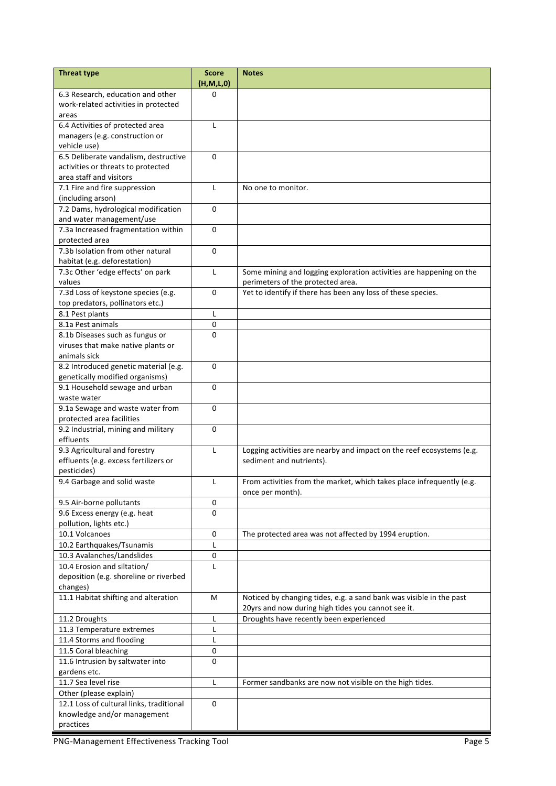| <b>Threat type</b>                       | Score<br>(H, M, L, 0) | <b>Notes</b>                                                          |
|------------------------------------------|-----------------------|-----------------------------------------------------------------------|
| 6.3 Research, education and other        | 0                     |                                                                       |
| work-related activities in protected     |                       |                                                                       |
| areas                                    |                       |                                                                       |
| 6.4 Activities of protected area         | L                     |                                                                       |
| managers (e.g. construction or           |                       |                                                                       |
| vehicle use)                             |                       |                                                                       |
| 6.5 Deliberate vandalism, destructive    | 0                     |                                                                       |
| activities or threats to protected       |                       |                                                                       |
| area staff and visitors                  |                       |                                                                       |
| 7.1 Fire and fire suppression            | L                     | No one to monitor.                                                    |
| (including arson)                        |                       |                                                                       |
| 7.2 Dams, hydrological modification      | 0                     |                                                                       |
|                                          |                       |                                                                       |
| and water management/use                 | 0                     |                                                                       |
| 7.3a Increased fragmentation within      |                       |                                                                       |
| protected area                           |                       |                                                                       |
| 7.3b Isolation from other natural        | 0                     |                                                                       |
| habitat (e.g. deforestation)             |                       |                                                                       |
| 7.3c Other 'edge effects' on park        | L                     | Some mining and logging exploration activities are happening on the   |
| values                                   |                       | perimeters of the protected area.                                     |
| 7.3d Loss of keystone species (e.g.      | 0                     | Yet to identify if there has been any loss of these species.          |
| top predators, pollinators etc.)         |                       |                                                                       |
| 8.1 Pest plants                          | L                     |                                                                       |
| 8.1a Pest animals                        | 0                     |                                                                       |
| 8.1b Diseases such as fungus or          | 0                     |                                                                       |
| viruses that make native plants or       |                       |                                                                       |
| animals sick                             |                       |                                                                       |
| 8.2 Introduced genetic material (e.g.    | 0                     |                                                                       |
| genetically modified organisms)          |                       |                                                                       |
| 9.1 Household sewage and urban           | 0                     |                                                                       |
| waste water                              |                       |                                                                       |
| 9.1a Sewage and waste water from         | 0                     |                                                                       |
| protected area facilities                |                       |                                                                       |
| 9.2 Industrial, mining and military      | 0                     |                                                                       |
| effluents                                |                       |                                                                       |
| 9.3 Agricultural and forestry            | L                     | Logging activities are nearby and impact on the reef ecosystems (e.g. |
| effluents (e.g. excess fertilizers or    |                       | sediment and nutrients).                                              |
| pesticides)                              |                       |                                                                       |
| 9.4 Garbage and solid waste              | L                     | From activities from the market, which takes place infrequently (e.g. |
|                                          |                       | once per month).                                                      |
| 9.5 Air-borne pollutants                 | 0                     |                                                                       |
| 9.6 Excess energy (e.g. heat             | 0                     |                                                                       |
| pollution, lights etc.)                  |                       |                                                                       |
| 10.1 Volcanoes                           | 0                     | The protected area was not affected by 1994 eruption.                 |
| 10.2 Earthquakes/Tsunamis                | L                     |                                                                       |
| 10.3 Avalanches/Landslides               | 0                     |                                                                       |
| 10.4 Erosion and siltation/              |                       |                                                                       |
| deposition (e.g. shoreline or riverbed   | L                     |                                                                       |
|                                          |                       |                                                                       |
| changes)                                 |                       |                                                                       |
| 11.1 Habitat shifting and alteration     | м                     | Noticed by changing tides, e.g. a sand bank was visible in the past   |
|                                          |                       | 20yrs and now during high tides you cannot see it.                    |
| 11.2 Droughts                            | L                     | Droughts have recently been experienced                               |
| 11.3 Temperature extremes                | L                     |                                                                       |
| 11.4 Storms and flooding                 | L                     |                                                                       |
| 11.5 Coral bleaching                     | 0                     |                                                                       |
| 11.6 Intrusion by saltwater into         | 0                     |                                                                       |
| gardens etc.                             |                       |                                                                       |
| 11.7 Sea level rise                      | L                     | Former sandbanks are now not visible on the high tides.               |
| Other (please explain)                   |                       |                                                                       |
| 12.1 Loss of cultural links, traditional | 0                     |                                                                       |
| knowledge and/or management              |                       |                                                                       |
| practices                                |                       |                                                                       |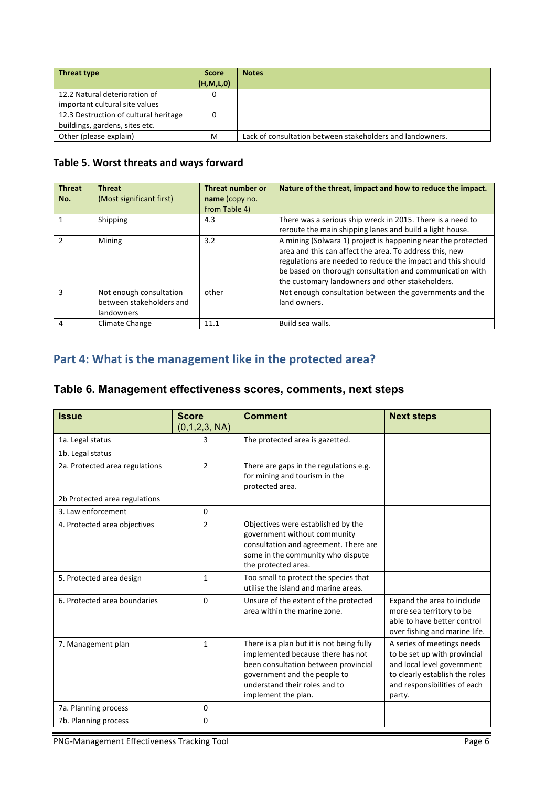| Threat type                           | <b>Score</b> | <b>Notes</b>                                              |
|---------------------------------------|--------------|-----------------------------------------------------------|
|                                       | (H, M, L, 0) |                                                           |
| 12.2 Natural deterioration of         |              |                                                           |
| important cultural site values        |              |                                                           |
| 12.3 Destruction of cultural heritage |              |                                                           |
| buildings, gardens, sites etc.        |              |                                                           |
| Other (please explain)                | M            | Lack of consultation between stakeholders and landowners. |

### **Table 5. Worst threats and ways forward**

| <b>Threat</b> | <b>Threat</b>            | Threat number or | Nature of the threat, impact and how to reduce the impact.   |
|---------------|--------------------------|------------------|--------------------------------------------------------------|
| No.           | (Most significant first) | name (copy no.   |                                                              |
|               |                          | from Table 4)    |                                                              |
|               | Shipping                 | 4.3              | There was a serious ship wreck in 2015. There is a need to   |
|               |                          |                  | reroute the main shipping lanes and build a light house.     |
|               | Mining                   | 3.2              | A mining (Solwara 1) project is happening near the protected |
|               |                          |                  | area and this can affect the area. To address this, new      |
|               |                          |                  | regulations are needed to reduce the impact and this should  |
|               |                          |                  | be based on thorough consultation and communication with     |
|               |                          |                  | the customary landowners and other stakeholders.             |
| ς             | Not enough consultation  | other            | Not enough consultation between the governments and the      |
|               | between stakeholders and |                  | land owners.                                                 |
|               | landowners               |                  |                                                              |
| 4             | Climate Change           | 11.1             | Build sea walls.                                             |

# Part 4: What is the management like in the protected area?

## **Table 6. Management effectiveness scores, comments, next steps**

| <b>Issue</b>                   | <b>Score</b><br>(0,1,2,3, NA) | <b>Comment</b>                                                                                                                                                                                                 | <b>Next steps</b>                                                                                                                                                    |
|--------------------------------|-------------------------------|----------------------------------------------------------------------------------------------------------------------------------------------------------------------------------------------------------------|----------------------------------------------------------------------------------------------------------------------------------------------------------------------|
| 1a. Legal status               | 3                             | The protected area is gazetted.                                                                                                                                                                                |                                                                                                                                                                      |
| 1b. Legal status               |                               |                                                                                                                                                                                                                |                                                                                                                                                                      |
| 2a. Protected area regulations | $\overline{2}$                | There are gaps in the regulations e.g.<br>for mining and tourism in the<br>protected area.                                                                                                                     |                                                                                                                                                                      |
| 2b Protected area regulations  |                               |                                                                                                                                                                                                                |                                                                                                                                                                      |
| 3. Law enforcement             | 0                             |                                                                                                                                                                                                                |                                                                                                                                                                      |
| 4. Protected area objectives   | $\overline{2}$                | Objectives were established by the<br>government without community<br>consultation and agreement. There are<br>some in the community who dispute<br>the protected area.                                        |                                                                                                                                                                      |
| 5. Protected area design       | $\mathbf{1}$                  | Too small to protect the species that<br>utilise the island and marine areas.                                                                                                                                  |                                                                                                                                                                      |
| 6. Protected area boundaries   | 0                             | Unsure of the extent of the protected<br>area within the marine zone.                                                                                                                                          | Expand the area to include<br>more sea territory to be<br>able to have better control<br>over fishing and marine life.                                               |
| 7. Management plan             | $\mathbf{1}$                  | There is a plan but it is not being fully<br>implemented because there has not<br>been consultation between provincial<br>government and the people to<br>understand their roles and to<br>implement the plan. | A series of meetings needs<br>to be set up with provincial<br>and local level government<br>to clearly establish the roles<br>and responsibilities of each<br>party. |
| 7a. Planning process           | $\Omega$                      |                                                                                                                                                                                                                |                                                                                                                                                                      |
| 7b. Planning process           | 0                             |                                                                                                                                                                                                                |                                                                                                                                                                      |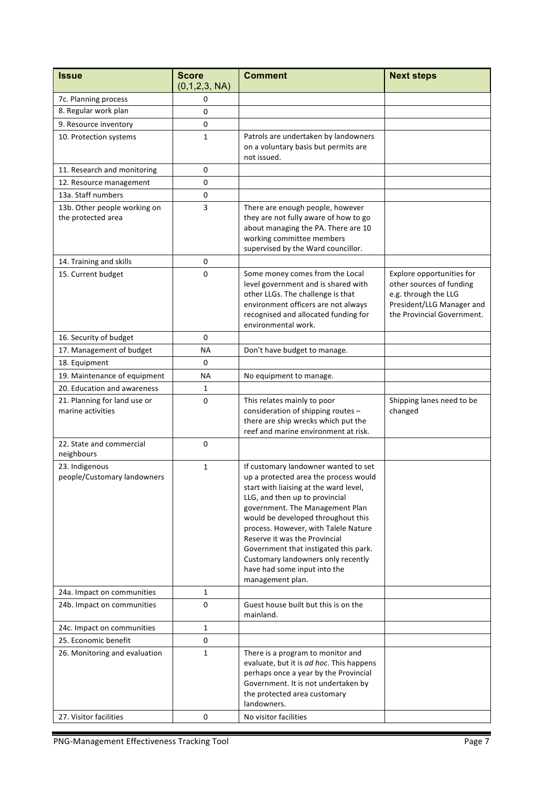| <b>Issue</b>                                       | <b>Score</b><br>(0,1,2,3, NA) | <b>Comment</b>                                                                                                                                                                                                                                                                                                                                                                                                                                 | <b>Next steps</b>                                                                                                                        |
|----------------------------------------------------|-------------------------------|------------------------------------------------------------------------------------------------------------------------------------------------------------------------------------------------------------------------------------------------------------------------------------------------------------------------------------------------------------------------------------------------------------------------------------------------|------------------------------------------------------------------------------------------------------------------------------------------|
| 7c. Planning process                               | 0                             |                                                                                                                                                                                                                                                                                                                                                                                                                                                |                                                                                                                                          |
| 8. Regular work plan                               | 0                             |                                                                                                                                                                                                                                                                                                                                                                                                                                                |                                                                                                                                          |
| 9. Resource inventory                              | 0                             |                                                                                                                                                                                                                                                                                                                                                                                                                                                |                                                                                                                                          |
| 10. Protection systems                             | $\mathbf{1}$                  | Patrols are undertaken by landowners<br>on a voluntary basis but permits are<br>not issued.                                                                                                                                                                                                                                                                                                                                                    |                                                                                                                                          |
| 11. Research and monitoring                        | 0                             |                                                                                                                                                                                                                                                                                                                                                                                                                                                |                                                                                                                                          |
| 12. Resource management                            | 0                             |                                                                                                                                                                                                                                                                                                                                                                                                                                                |                                                                                                                                          |
| 13a. Staff numbers                                 | 0                             |                                                                                                                                                                                                                                                                                                                                                                                                                                                |                                                                                                                                          |
| 13b. Other people working on<br>the protected area | 3                             | There are enough people, however<br>they are not fully aware of how to go<br>about managing the PA. There are 10<br>working committee members<br>supervised by the Ward councillor.                                                                                                                                                                                                                                                            |                                                                                                                                          |
| 14. Training and skills                            | 0                             |                                                                                                                                                                                                                                                                                                                                                                                                                                                |                                                                                                                                          |
| 15. Current budget                                 | 0                             | Some money comes from the Local<br>level government and is shared with<br>other LLGs. The challenge is that<br>environment officers are not always<br>recognised and allocated funding for<br>environmental work.                                                                                                                                                                                                                              | Explore opportunities for<br>other sources of funding<br>e.g. through the LLG<br>President/LLG Manager and<br>the Provincial Government. |
| 16. Security of budget                             | 0                             |                                                                                                                                                                                                                                                                                                                                                                                                                                                |                                                                                                                                          |
| 17. Management of budget                           | NА                            | Don't have budget to manage.                                                                                                                                                                                                                                                                                                                                                                                                                   |                                                                                                                                          |
| 18. Equipment                                      | 0                             |                                                                                                                                                                                                                                                                                                                                                                                                                                                |                                                                                                                                          |
| 19. Maintenance of equipment                       | NА                            | No equipment to manage.                                                                                                                                                                                                                                                                                                                                                                                                                        |                                                                                                                                          |
| 20. Education and awareness                        | 1                             |                                                                                                                                                                                                                                                                                                                                                                                                                                                |                                                                                                                                          |
| 21. Planning for land use or<br>marine activities  | 0                             | This relates mainly to poor<br>consideration of shipping routes -<br>there are ship wrecks which put the<br>reef and marine environment at risk.                                                                                                                                                                                                                                                                                               | Shipping lanes need to be<br>changed                                                                                                     |
| 22. State and commercial<br>neighbours             | 0                             |                                                                                                                                                                                                                                                                                                                                                                                                                                                |                                                                                                                                          |
| 23. Indigenous<br>people/Customary landowners      | $\mathbf{1}$                  | If customary landowner wanted to set<br>up a protected area the process would<br>start with liaising at the ward level,<br>LLG, and then up to provincial<br>government. The Management Plan<br>would be developed throughout this<br>process. However, with Talele Nature<br>Reserve it was the Provincial<br>Government that instigated this park.<br>Customary landowners only recently<br>have had some input into the<br>management plan. |                                                                                                                                          |
| 24a. Impact on communities                         | $\mathbf{1}$                  |                                                                                                                                                                                                                                                                                                                                                                                                                                                |                                                                                                                                          |
| 24b. Impact on communities                         | 0                             | Guest house built but this is on the<br>mainland.                                                                                                                                                                                                                                                                                                                                                                                              |                                                                                                                                          |
| 24c. Impact on communities                         | $\mathbf{1}$                  |                                                                                                                                                                                                                                                                                                                                                                                                                                                |                                                                                                                                          |
| 25. Economic benefit                               | 0                             |                                                                                                                                                                                                                                                                                                                                                                                                                                                |                                                                                                                                          |
| 26. Monitoring and evaluation                      | $\mathbf{1}$                  | There is a program to monitor and<br>evaluate, but it is ad hoc. This happens<br>perhaps once a year by the Provincial<br>Government. It is not undertaken by<br>the protected area customary<br>landowners.                                                                                                                                                                                                                                   |                                                                                                                                          |
| 27. Visitor facilities                             | 0                             | No visitor facilities                                                                                                                                                                                                                                                                                                                                                                                                                          |                                                                                                                                          |